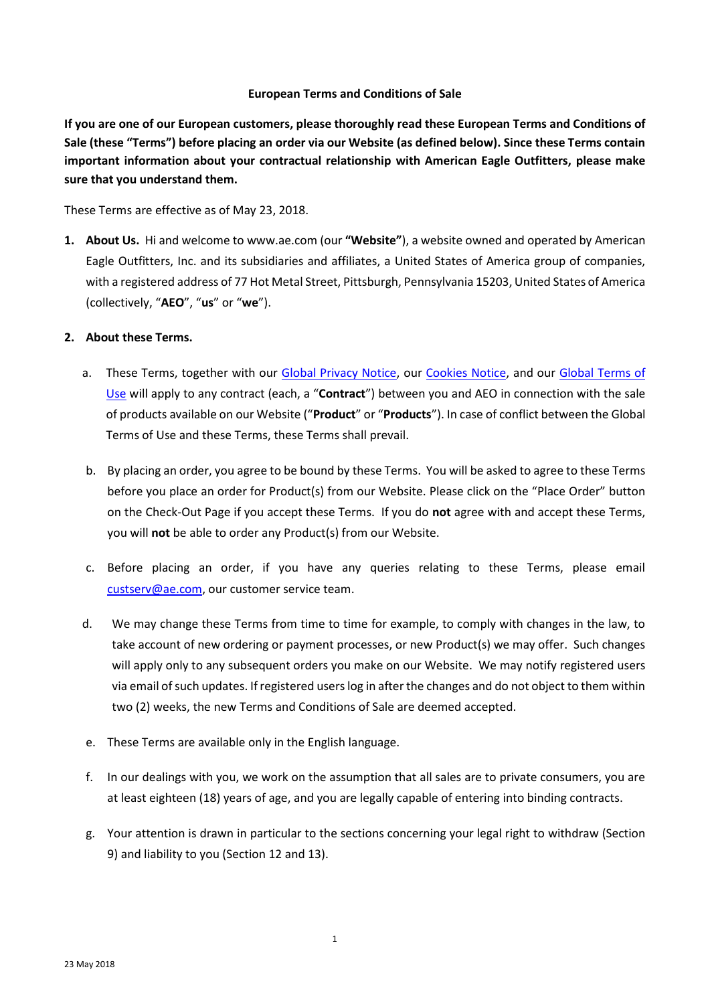#### **European Terms and Conditions of Sale**

**If you are one of our European customers, please thoroughly read these European Terms and Conditions of Sale (these "Terms") before placing an order via our Website (as defined below). Since these Terms contain important information about your contractual relationship with American Eagle Outfitters, please make sure that you understand them.** 

These Terms are effective as of May 23, 2018.

**1. About Us.** Hi and welcome to www.ae.com (our **"Website"**), a website owned and operated by American Eagle Outfitters, Inc. and its subsidiaries and affiliates, a United States of America group of companies, with a registered address of 77 Hot Metal Street, Pittsburgh, Pennsylvania 15203, United States of America (collectively, "**AEO**", "**us**" or "**we**").

#### **2. About these Terms.**

- a. These Terms, together with our [Global Privacy Notice,](https://www.ae.com/content/help/privacy-notices) our [Cookies Notice,](https://s7d2.scene7.com/is/content/aeo/Help/Cookies%20Notice.pdf) and our [Global Terms of](https://www.ae.com/content/help/terms-of-use)  [Use](https://www.ae.com/content/help/terms-of-use) will apply to any contract (each, a "**Contract**") between you and AEO in connection with the sale of products available on our Website ("**Product**" or "**Products**"). In case of conflict between the Global Terms of Use and these Terms, these Terms shall prevail.
- b. By placing an order, you agree to be bound by these Terms. You will be asked to agree to these Terms before you place an order for Product(s) from our Website. Please click on the "Place Order" button on the Check-Out Page if you accept these Terms. If you do **not** agree with and accept these Terms, you will **not** be able to order any Product(s) from our Website.
- c. Before placing an order, if you have any queries relating to these Terms, please email [custserv@ae.com,](mailto:custserv@ae.com) our customer service team.
- d. We may change these Terms from time to time for example, to comply with changes in the law, to take account of new ordering or payment processes, or new Product(s) we may offer. Such changes will apply only to any subsequent orders you make on our Website. We may notify registered users via email of such updates. If registered users log in after the changes and do not object to them within two (2) weeks, the new Terms and Conditions of Sale are deemed accepted.
- e. These Terms are available only in the English language.
- f. In our dealings with you, we work on the assumption that all sales are to private consumers, you are at least eighteen (18) years of age, and you are legally capable of entering into binding contracts.
- g. Your attention is drawn in particular to the sections concerning your legal right to withdraw (Section 9) and liability to you (Section 12 and 13).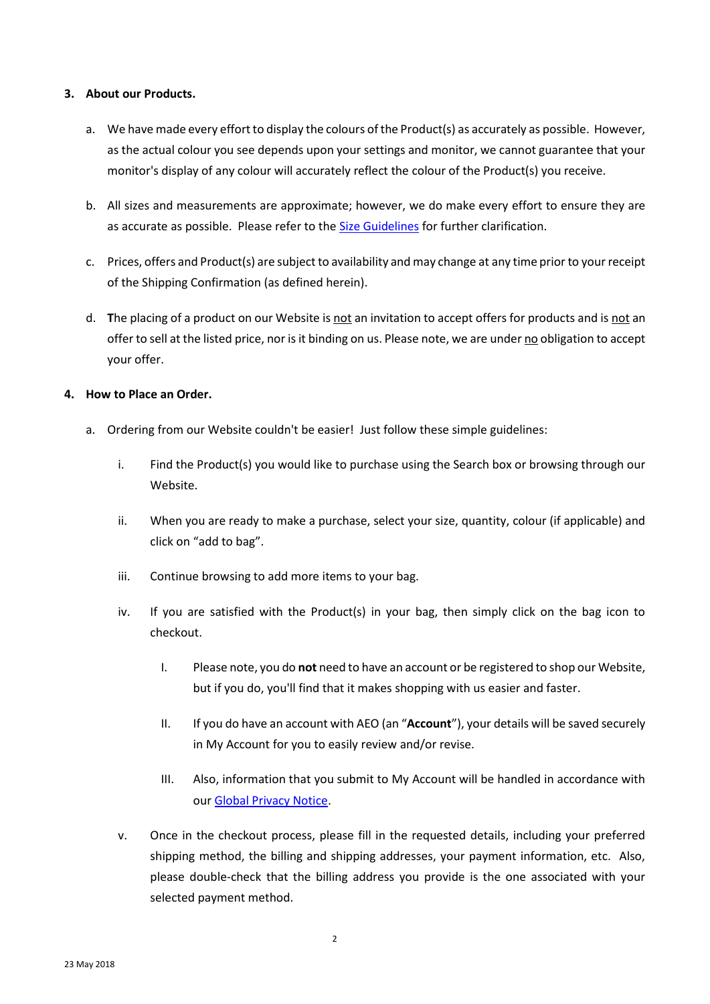### **3. About our Products.**

- a. We have made every effort to display the colours of the Product(s) as accurately as possible. However, as the actual colour you see depends upon your settings and monitor, we cannot guarantee that your monitor's display of any colour will accurately reflect the colour of the Product(s) you receive.
- b. All sizes and measurements are approximate; however, we do make every effort to ensure they are as accurate as possible. Please refer to th[e Size Guidelines](https://www.ae.com/content/help/women-size-chart) for further clarification.
- c. Prices, offers and Product(s) are subject to availability and may change at any time prior to your receipt of the Shipping Confirmation (as defined herein).
- d. **T**he placing of a product on our Website is not an invitation to accept offers for products and is not an offer to sell at the listed price, nor is it binding on us. Please note, we are under no obligation to accept your offer.

# **4. How to Place an Order.**

- a. Ordering from our Website couldn't be easier! Just follow these simple guidelines:
	- i. Find the Product(s) you would like to purchase using the Search box or browsing through our Website.
	- ii. When you are ready to make a purchase, select your size, quantity, colour (if applicable) and click on "add to bag".
	- iii. Continue browsing to add more items to your bag.
	- iv. If you are satisfied with the Product(s) in your bag, then simply click on the bag icon to checkout.
		- I. Please note, you do **not** need to have an account or be registered to shop our Website, but if you do, you'll find that it makes shopping with us easier and faster.
		- II. If you do have an account with AEO (an "**Account**"), your details will be saved securely in My Account for you to easily review and/or revise.
		- III. Also, information that you submit to My Account will be handled in accordance with our [Global Privacy Notice.](https://www.ae.com/content/help/privacy-notices)
	- v. Once in the checkout process, please fill in the requested details, including your preferred shipping method, the billing and shipping addresses, your payment information, etc. Also, please double-check that the billing address you provide is the one associated with your selected payment method.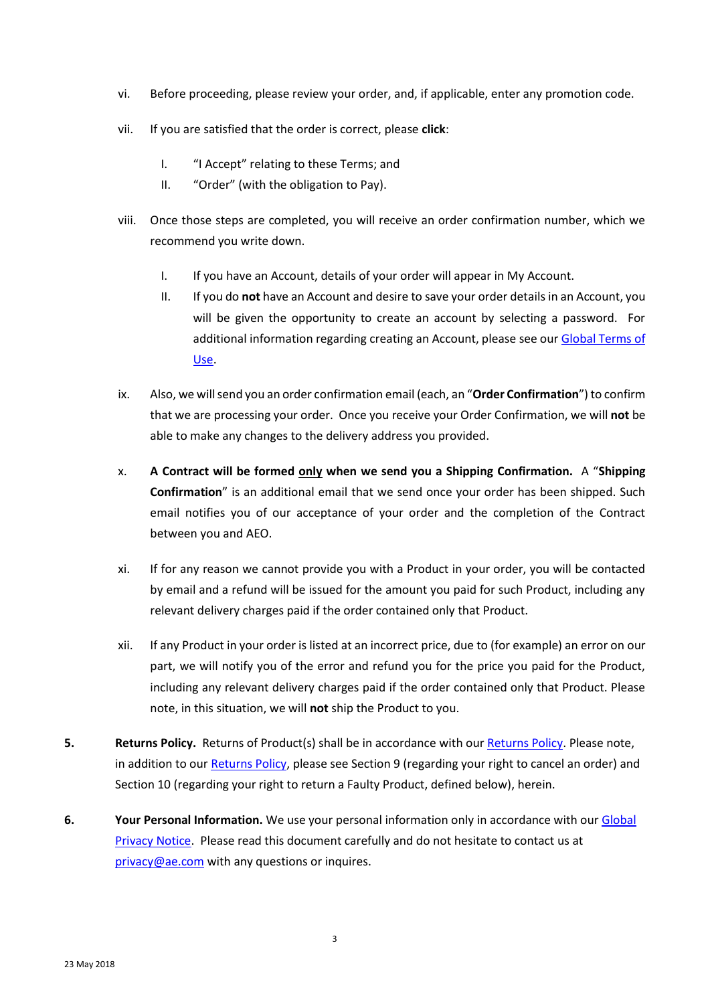- vi. Before proceeding, please review your order, and, if applicable, enter any promotion code.
- vii. If you are satisfied that the order is correct, please **click**:
	- I. "I Accept" relating to these Terms; and
	- II. "Order" (with the obligation to Pay).
- viii. Once those steps are completed, you will receive an order confirmation number, which we recommend you write down.
	- I. If you have an Account, details of your order will appear in My Account.
	- II. If you do **not** have an Account and desire to save your order details in an Account, you will be given the opportunity to create an account by selecting a password. For additional information regarding creating an Account, please see our [Global Terms of](https://www.ae.com/content/help/terms-of-use)  [Use.](https://www.ae.com/content/help/terms-of-use)
- ix. Also, we will send you an order confirmation email (each, an "**Order Confirmation**") to confirm that we are processing your order. Once you receive your Order Confirmation, we will **not** be able to make any changes to the delivery address you provided.
- x. **A Contract will be formed only when we send you a Shipping Confirmation.** A "**Shipping Confirmation**" is an additional email that we send once your order has been shipped. Such email notifies you of our acceptance of your order and the completion of the Contract between you and AEO.
- xi. If for any reason we cannot provide you with a Product in your order, you will be contacted by email and a refund will be issued for the amount you paid for such Product, including any relevant delivery charges paid if the order contained only that Product.
- xii. If any Product in your order is listed at an incorrect price, due to (for example) an error on our part, we will notify you of the error and refund you for the price you paid for the Product, including any relevant delivery charges paid if the order contained only that Product. Please note, in this situation, we will **not** ship the Product to you.
- **5. Returns Policy.** Returns of Product(s) shall be in accordance with our **Returns Policy**. Please note, in addition to our [Returns Policy,](https://www.ae.com/content/help/return-policy) please see Section 9 (regarding your right to cancel an order) and Section 10 (regarding your right to return a Faulty Product, defined below), herein.
- **6. Your Personal Information.** We use your personal information only in accordance with ou[r Global](https://www.ae.com/content/help/privacy-notices)  [Privacy Notice.](https://www.ae.com/content/help/privacy-notices) Please read this document carefully and do not hesitate to contact us at [privacy@ae.com](mailto:privacy@ae.com) with any questions or inquires.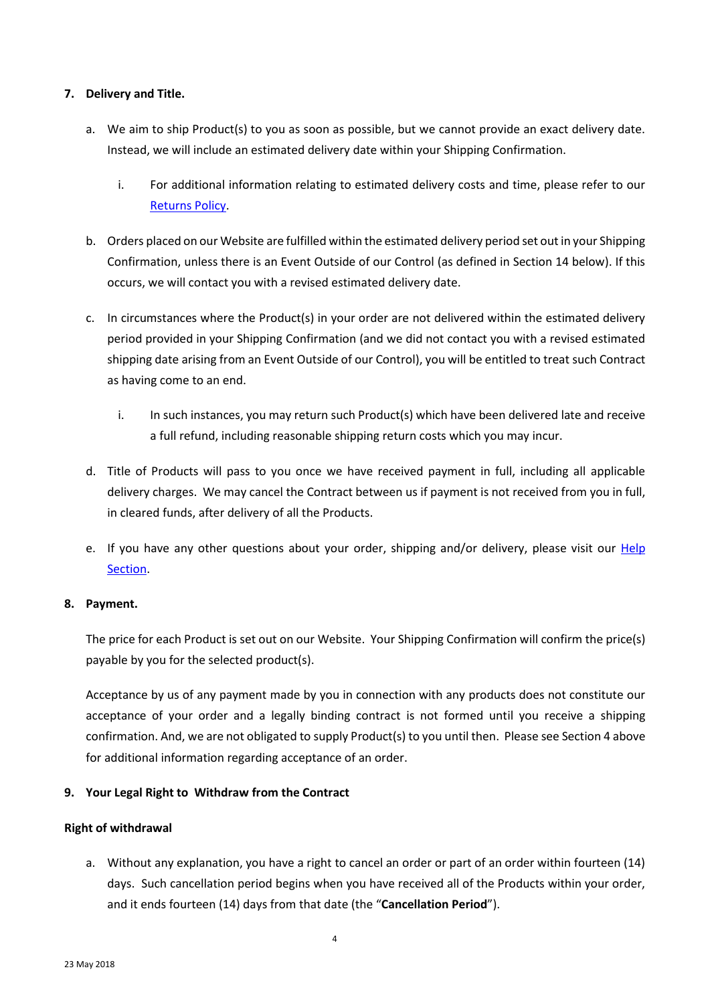### **7. Delivery and Title.**

- a. We aim to ship Product(s) to you as soon as possible, but we cannot provide an exact delivery date. Instead, we will include an estimated delivery date within your Shipping Confirmation.
	- i. For additional information relating to estimated delivery costs and time, please refer to our [Returns Policy.](https://www.ae.com/content/help/return-policy)
- b. Orders placed on our Website are fulfilled within the estimated delivery period set out in your Shipping Confirmation, unless there is an Event Outside of our Control (as defined in Section 14 below). If this occurs, we will contact you with a revised estimated delivery date.
- c. In circumstances where the Product(s) in your order are not delivered within the estimated delivery period provided in your Shipping Confirmation (and we did not contact you with a revised estimated shipping date arising from an Event Outside of our Control), you will be entitled to treat such Contract as having come to an end.
	- i. In such instances, you may return such Product(s) which have been delivered late and receive a full refund, including reasonable shipping return costs which you may incur.
- d. Title of Products will pass to you once we have received payment in full, including all applicable delivery charges. We may cancel the Contract between us if payment is not received from you in full, in cleared funds, after delivery of all the Products.
- e. If you have any other questions about your order, shipping and/or delivery, please visit our *Help* [Section.](https://www.ae.com/content/help/home)

# **8. Payment.**

The price for each Product is set out on our Website. Your Shipping Confirmation will confirm the price(s) payable by you for the selected product(s).

Acceptance by us of any payment made by you in connection with any products does not constitute our acceptance of your order and a legally binding contract is not formed until you receive a shipping confirmation. And, we are not obligated to supply Product(s) to you until then. Please see Section 4 above for additional information regarding acceptance of an order.

# **9. Your Legal Right to Withdraw from the Contract**

#### **Right of withdrawal**

a. Without any explanation, you have a right to cancel an order or part of an order within fourteen (14) days. Such cancellation period begins when you have received all of the Products within your order, and it ends fourteen (14) days from that date (the "**Cancellation Period**").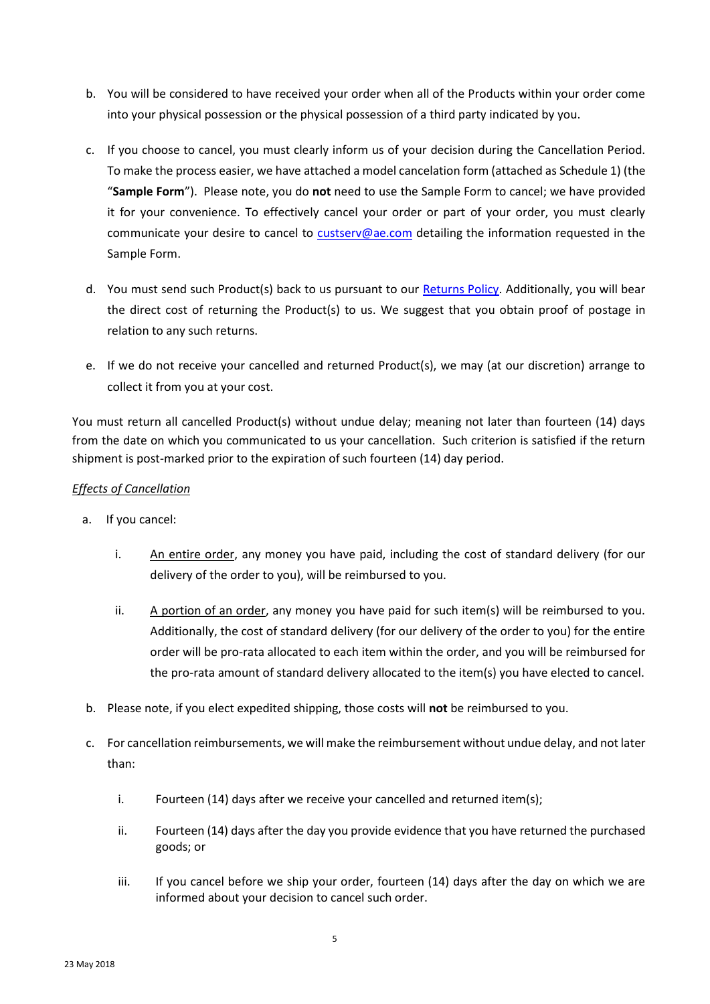- b. You will be considered to have received your order when all of the Products within your order come into your physical possession or the physical possession of a third party indicated by you.
- c. If you choose to cancel, you must clearly inform us of your decision during the Cancellation Period. To make the process easier, we have attached a model cancelation form (attached as Schedule 1) (the "**Sample Form**"). Please note, you do **not** need to use the Sample Form to cancel; we have provided it for your convenience. To effectively cancel your order or part of your order, you must clearly communicate your desire to cancel to [custserv@ae.com](mailto:custserv@ae.com) detailing the information requested in the Sample Form.
- d. You must send such Product(s) back to us pursuant to our [Returns Policy.](https://www.ae.com/content/help/return-policy) Additionally, you will bear the direct cost of returning the Product(s) to us. We suggest that you obtain proof of postage in relation to any such returns.
- e. If we do not receive your cancelled and returned Product(s), we may (at our discretion) arrange to collect it from you at your cost.

You must return all cancelled Product(s) without undue delay; meaning not later than fourteen (14) days from the date on which you communicated to us your cancellation. Such criterion is satisfied if the return shipment is post-marked prior to the expiration of such fourteen (14) day period.

# *Effects of Cancellation*

- a. If you cancel:
	- i. An entire order, any money you have paid, including the cost of standard delivery (for our delivery of the order to you), will be reimbursed to you.
	- ii. A portion of an order, any money you have paid for such item(s) will be reimbursed to you. Additionally, the cost of standard delivery (for our delivery of the order to you) for the entire order will be pro-rata allocated to each item within the order, and you will be reimbursed for the pro-rata amount of standard delivery allocated to the item(s) you have elected to cancel.
- b. Please note, if you elect expedited shipping, those costs will **not** be reimbursed to you.
- c. For cancellation reimbursements, we will make the reimbursement without undue delay, and not later than:
	- i. Fourteen (14) days after we receive your cancelled and returned item(s);
	- ii. Fourteen (14) days after the day you provide evidence that you have returned the purchased goods; or
	- iii. If you cancel before we ship your order, fourteen (14) days after the day on which we are informed about your decision to cancel such order.

5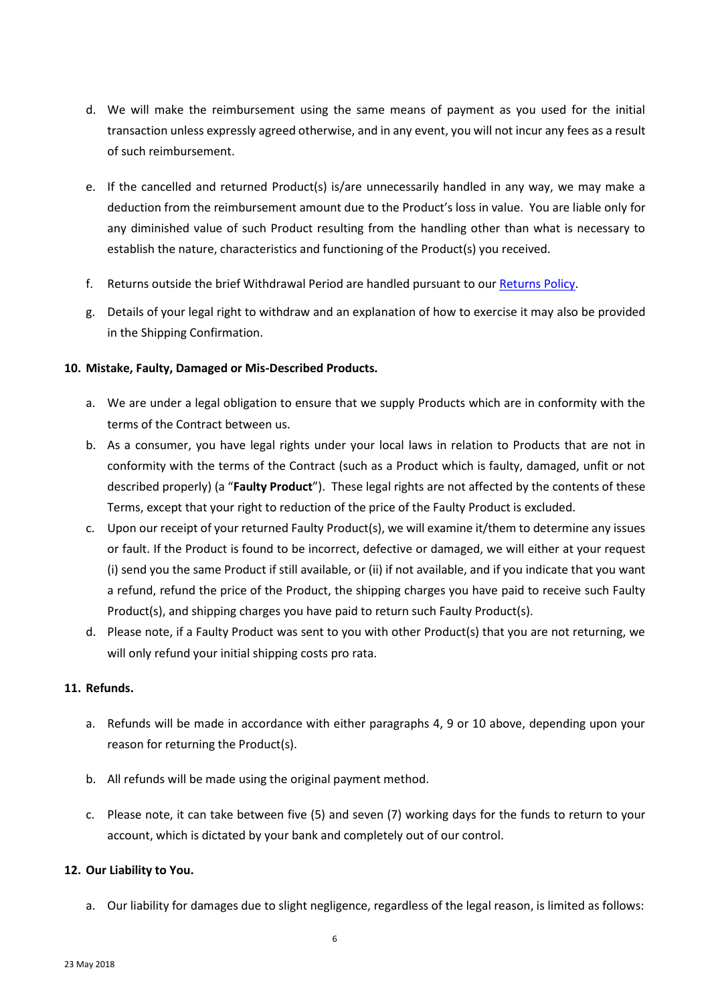- d. We will make the reimbursement using the same means of payment as you used for the initial transaction unless expressly agreed otherwise, and in any event, you will not incur any fees as a result of such reimbursement.
- e. If the cancelled and returned Product(s) is/are unnecessarily handled in any way, we may make a deduction from the reimbursement amount due to the Product's loss in value. You are liable only for any diminished value of such Product resulting from the handling other than what is necessary to establish the nature, characteristics and functioning of the Product(s) you received.
- f. Returns outside the brief Withdrawal Period are handled pursuant to our [Returns Policy.](https://www.ae.com/content/help/return-policy)
- g. Details of your legal right to withdraw and an explanation of how to exercise it may also be provided in the Shipping Confirmation.

### **10. Mistake, Faulty, Damaged or Mis-Described Products.**

- a. We are under a legal obligation to ensure that we supply Products which are in conformity with the terms of the Contract between us.
- b. As a consumer, you have legal rights under your local laws in relation to Products that are not in conformity with the terms of the Contract (such as a Product which is faulty, damaged, unfit or not described properly) (a "**Faulty Product**"). These legal rights are not affected by the contents of these Terms, except that your right to reduction of the price of the Faulty Product is excluded.
- c. Upon our receipt of your returned Faulty Product(s), we will examine it/them to determine any issues or fault. If the Product is found to be incorrect, defective or damaged, we will either at your request (i) send you the same Product if still available, or (ii) if not available, and if you indicate that you want a refund, refund the price of the Product, the shipping charges you have paid to receive such Faulty Product(s), and shipping charges you have paid to return such Faulty Product(s).
- d. Please note, if a Faulty Product was sent to you with other Product(s) that you are not returning, we will only refund your initial shipping costs pro rata.

#### **11. Refunds.**

- a. Refunds will be made in accordance with either paragraphs 4, 9 or 10 above, depending upon your reason for returning the Product(s).
- b. All refunds will be made using the original payment method.
- c. Please note, it can take between five (5) and seven (7) working days for the funds to return to your account, which is dictated by your bank and completely out of our control.

# **12. Our Liability to You.**

a. Our liability for damages due to slight negligence, regardless of the legal reason, is limited as follows: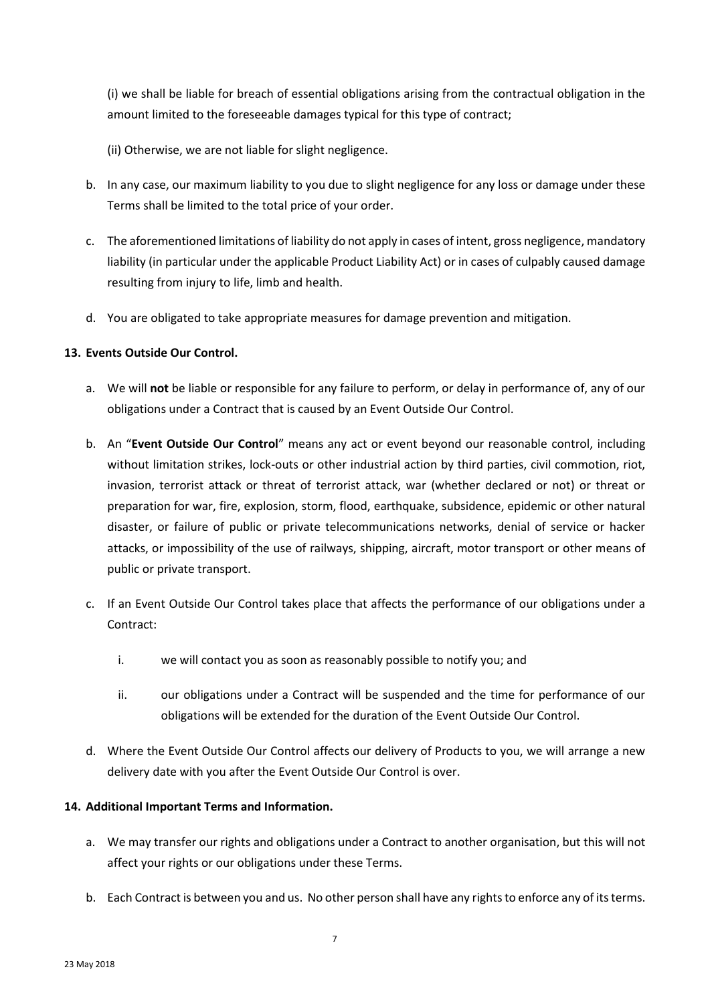(i) we shall be liable for breach of essential obligations arising from the contractual obligation in the amount limited to the foreseeable damages typical for this type of contract;

(ii) Otherwise, we are not liable for slight negligence.

- b. In any case, our maximum liability to you due to slight negligence for any loss or damage under these Terms shall be limited to the total price of your order.
- c. The aforementioned limitations of liability do not apply in cases of intent, gross negligence, mandatory liability (in particular under the applicable Product Liability Act) or in cases of culpably caused damage resulting from injury to life, limb and health.
- d. You are obligated to take appropriate measures for damage prevention and mitigation.

# **13. Events Outside Our Control.**

- a. We will **not** be liable or responsible for any failure to perform, or delay in performance of, any of our obligations under a Contract that is caused by an Event Outside Our Control.
- b. An "**Event Outside Our Control**" means any act or event beyond our reasonable control, including without limitation strikes, lock-outs or other industrial action by third parties, civil commotion, riot, invasion, terrorist attack or threat of terrorist attack, war (whether declared or not) or threat or preparation for war, fire, explosion, storm, flood, earthquake, subsidence, epidemic or other natural disaster, or failure of public or private telecommunications networks, denial of service or hacker attacks, or impossibility of the use of railways, shipping, aircraft, motor transport or other means of public or private transport.
- c. If an Event Outside Our Control takes place that affects the performance of our obligations under a Contract:
	- i. we will contact you as soon as reasonably possible to notify you; and
	- ii. our obligations under a Contract will be suspended and the time for performance of our obligations will be extended for the duration of the Event Outside Our Control.
- d. Where the Event Outside Our Control affects our delivery of Products to you, we will arrange a new delivery date with you after the Event Outside Our Control is over.

# **14. Additional Important Terms and Information.**

- a. We may transfer our rights and obligations under a Contract to another organisation, but this will not affect your rights or our obligations under these Terms.
- b. Each Contract is between you and us. No other person shall have any rights to enforce any of its terms.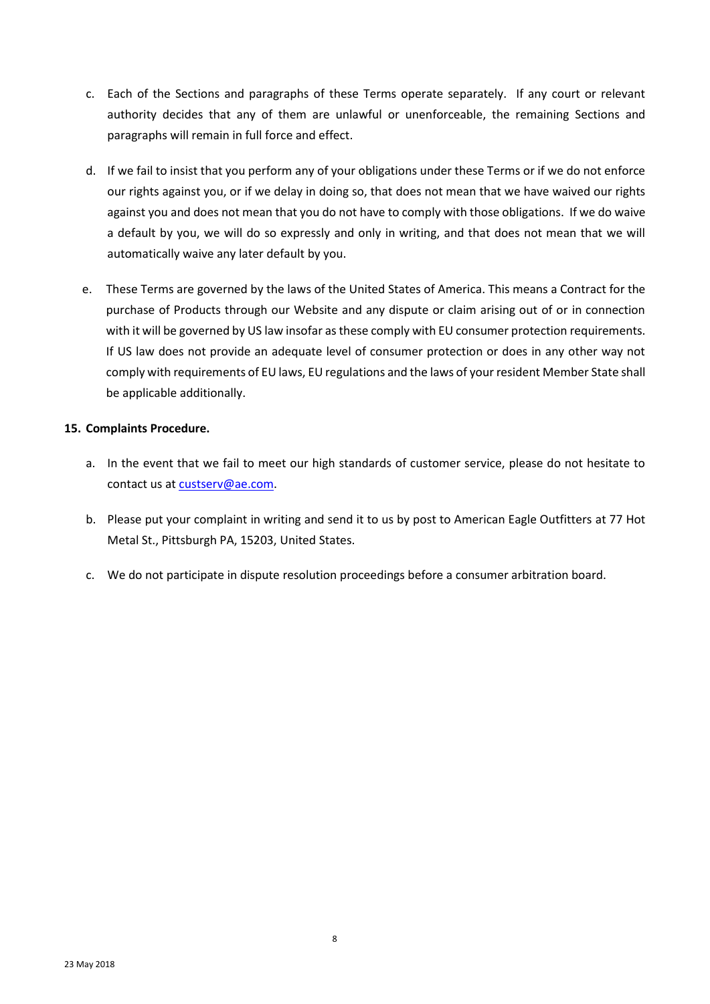- c. Each of the Sections and paragraphs of these Terms operate separately. If any court or relevant authority decides that any of them are unlawful or unenforceable, the remaining Sections and paragraphs will remain in full force and effect.
- d. If we fail to insist that you perform any of your obligations under these Terms or if we do not enforce our rights against you, or if we delay in doing so, that does not mean that we have waived our rights against you and does not mean that you do not have to comply with those obligations. If we do waive a default by you, we will do so expressly and only in writing, and that does not mean that we will automatically waive any later default by you.
- e. These Terms are governed by the laws of the United States of America. This means a Contract for the purchase of Products through our Website and any dispute or claim arising out of or in connection with it will be governed by US law insofar as these comply with EU consumer protection requirements. If US law does not provide an adequate level of consumer protection or does in any other way not comply with requirements of EU laws, EU regulations and the laws of your resident Member State shall be applicable additionally.

# **15. Complaints Procedure.**

- a. In the event that we fail to meet our high standards of customer service, please do not hesitate to contact us at [custserv@ae.com.](mailto:custserv@ae.com)
- b. Please put your complaint in writing and send it to us by post to American Eagle Outfitters at 77 Hot Metal St., Pittsburgh PA, 15203, United States.
- c. We do not participate in dispute resolution proceedings before a consumer arbitration board.